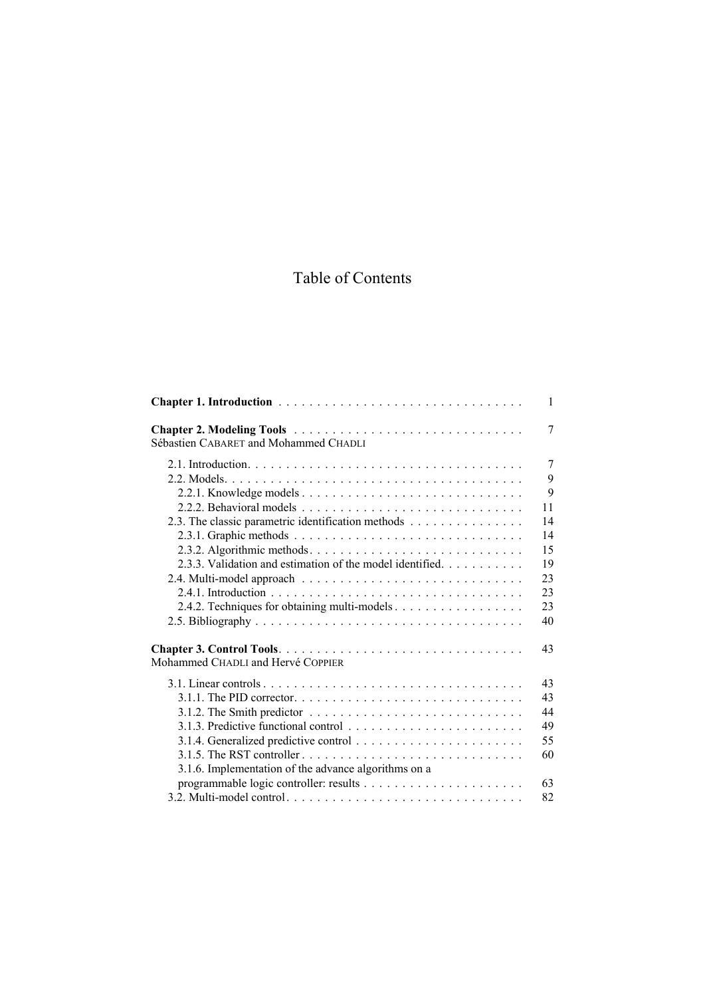## Table of Contents

|                                                           | $\mathbf{1}$ |
|-----------------------------------------------------------|--------------|
| Sébastien CABARET and Mohammed CHADLI                     | 7            |
|                                                           | 7            |
|                                                           | 9            |
|                                                           | 9            |
|                                                           | 11           |
| 2.3. The classic parametric identification methods        | 14           |
|                                                           | 14           |
|                                                           | 15           |
| 2.3.3. Validation and estimation of the model identified. | 19           |
|                                                           | 23           |
|                                                           | 23           |
| 2.4.2. Techniques for obtaining multi-models              | 23           |
|                                                           | 40           |
| Mohammed CHADLI and Hervé COPPIER                         | 43           |
|                                                           | 43           |
|                                                           | 43           |
|                                                           | 44           |
|                                                           | 49           |
|                                                           | 55           |
|                                                           | 60           |
| 3.1.6. Implementation of the advance algorithms on a      |              |
|                                                           | 63           |
|                                                           | 82           |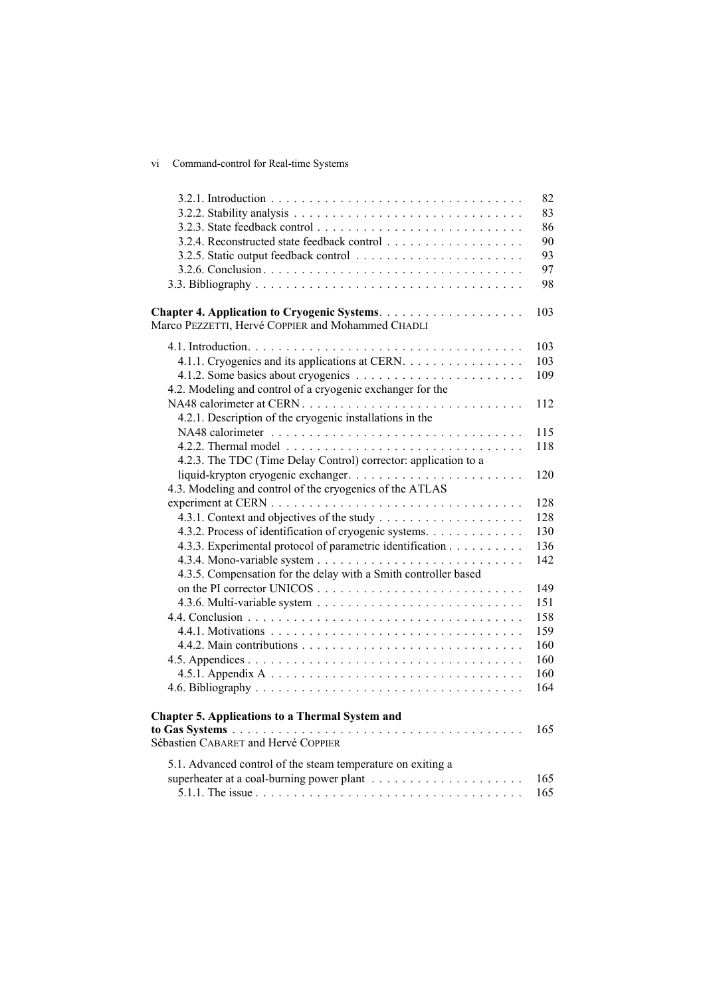## vi Command-control for Real-time Systems

|                                                                 | 82  |
|-----------------------------------------------------------------|-----|
|                                                                 | 83  |
|                                                                 | 86  |
|                                                                 | 90  |
|                                                                 | 93  |
|                                                                 | 97  |
|                                                                 | 98  |
| Marco PEZZETTI, Hervé COPPIER and Mohammed CHADLI               | 103 |
|                                                                 | 103 |
| 4.1.1. Cryogenics and its applications at CERN.                 | 103 |
|                                                                 | 109 |
| 4.2. Modeling and control of a cryogenic exchanger for the      |     |
|                                                                 | 112 |
| 4.2.1. Description of the cryogenic installations in the        |     |
|                                                                 | 115 |
|                                                                 | 118 |
| 4.2.3. The TDC (Time Delay Control) corrector: application to a |     |
|                                                                 | 120 |
| 4.3. Modeling and control of the cryogenics of the ATLAS        |     |
|                                                                 | 128 |
|                                                                 | 128 |
| 4.3.2. Process of identification of cryogenic systems.          | 130 |
| 4.3.3. Experimental protocol of parametric identification       | 136 |
|                                                                 | 142 |
| 4.3.5. Compensation for the delay with a Smith controller based |     |
|                                                                 | 149 |
|                                                                 | 151 |
|                                                                 | 158 |
|                                                                 | 159 |
|                                                                 | 160 |
|                                                                 | 160 |
|                                                                 | 160 |
|                                                                 | 164 |
|                                                                 |     |
| <b>Chapter 5. Applications to a Thermal System and</b>          | 165 |
| Sébastien CABARET and Hervé COPPIER                             |     |
| 5.1. Advanced control of the steam temperature on exiting a     |     |
|                                                                 | 165 |
|                                                                 | 165 |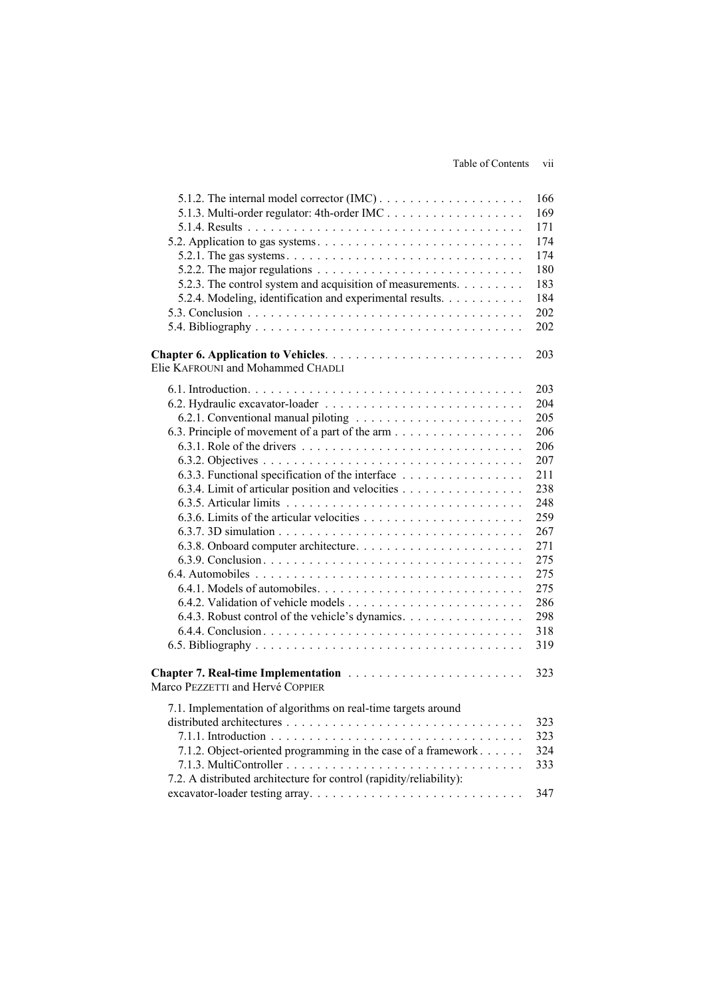Table of Contents vii

|                                                                                               | 166 |
|-----------------------------------------------------------------------------------------------|-----|
| 5.1.3. Multi-order regulator: 4th-order IMC                                                   | 169 |
|                                                                                               | 171 |
|                                                                                               | 174 |
|                                                                                               | 174 |
| 5.2.2. The major regulations $\ldots \ldots \ldots \ldots \ldots \ldots \ldots \ldots \ldots$ | 180 |
| 5.2.3. The control system and acquisition of measurements.                                    | 183 |
| 5.2.4. Modeling, identification and experimental results.                                     | 184 |
|                                                                                               | 202 |
|                                                                                               | 202 |
|                                                                                               | 203 |
| Elie KAFROUNI and Mohammed CHADLI                                                             |     |
|                                                                                               | 203 |
|                                                                                               | 204 |
|                                                                                               | 205 |
|                                                                                               | 206 |
|                                                                                               | 206 |
|                                                                                               | 207 |
| 6.3.3. Functional specification of the interface                                              | 211 |
| 6.3.4. Limit of articular position and velocities                                             | 238 |
|                                                                                               | 248 |
|                                                                                               | 259 |
|                                                                                               | 267 |
|                                                                                               | 271 |
|                                                                                               | 275 |
|                                                                                               | 275 |
|                                                                                               | 275 |
|                                                                                               | 286 |
| 6.4.3. Robust control of the vehicle's dynamics.                                              | 298 |
|                                                                                               | 318 |
|                                                                                               | 319 |
| Chapter 7. Real-time Implementation                                                           | 323 |
| Marco PEZZETTI and Hervé COPPIER                                                              |     |
| 7.1. Implementation of algorithms on real-time targets around                                 |     |
|                                                                                               | 323 |
|                                                                                               | 323 |
| 7.1.2. Object-oriented programming in the case of a framework                                 | 324 |
|                                                                                               | 333 |
| 7.2. A distributed architecture for control (rapidity/reliability):                           | 347 |
|                                                                                               |     |